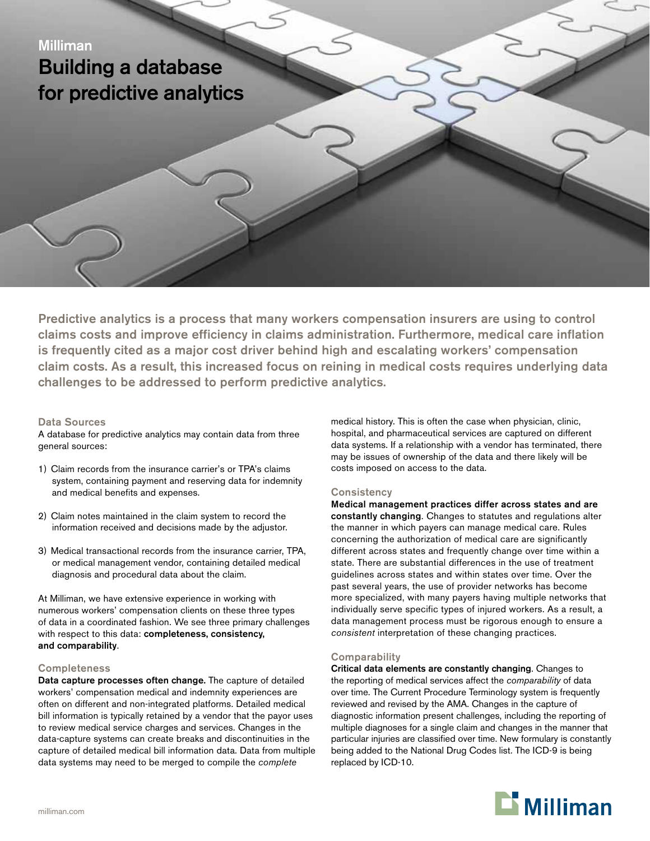# Milliman Building a database for predictive analytics

Predictive analytics is a process that many workers compensation insurers are using to control claims costs and improve efficiency in claims administration. Furthermore, medical care inflation is frequently cited as a major cost driver behind high and escalating workers' compensation claim costs. As a result, this increased focus on reining in medical costs requires underlying data challenges to be addressed to perform predictive analytics.

#### Data Sources

A database for predictive analytics may contain data from three general sources:

- 1) Claim records from the insurance carrier's or TPA's claims system, containing payment and reserving data for indemnity and medical benefits and expenses.
- 2) Claim notes maintained in the claim system to record the information received and decisions made by the adjustor.
- 3) Medical transactional records from the insurance carrier, TPA, or medical management vendor, containing detailed medical diagnosis and procedural data about the claim.

At Milliman, we have extensive experience in working with numerous workers' compensation clients on these three types of data in a coordinated fashion. We see three primary challenges with respect to this data: completeness, consistency, and comparability.

## **Completeness**

Data capture processes often change. The capture of detailed workers' compensation medical and indemnity experiences are often on different and non-integrated platforms. Detailed medical bill information is typically retained by a vendor that the payor uses to review medical service charges and services. Changes in the data-capture systems can create breaks and discontinuities in the capture of detailed medical bill information data. Data from multiple data systems may need to be merged to compile the *complete* 

medical history. This is often the case when physician, clinic, hospital, and pharmaceutical services are captured on different data systems. If a relationship with a vendor has terminated, there may be issues of ownership of the data and there likely will be costs imposed on access to the data.

## **Consistency**

Medical management practices differ across states and are constantly changing. Changes to statutes and regulations alter the manner in which payers can manage medical care. Rules concerning the authorization of medical care are significantly different across states and frequently change over time within a state. There are substantial differences in the use of treatment guidelines across states and within states over time. Over the past several years, the use of provider networks has become more specialized, with many payers having multiple networks that individually serve specific types of injured workers. As a result, a data management process must be rigorous enough to ensure a *consistent* interpretation of these changing practices.

## **Comparability**

Critical data elements are constantly changing. Changes to the reporting of medical services affect the *comparability* of data over time. The Current Procedure Terminology system is frequently reviewed and revised by the AMA. Changes in the capture of diagnostic information present challenges, including the reporting of multiple diagnoses for a single claim and changes in the manner that particular injuries are classified over time. New formulary is constantly being added to the National Drug Codes list. The ICD-9 is being replaced by ICD-10.